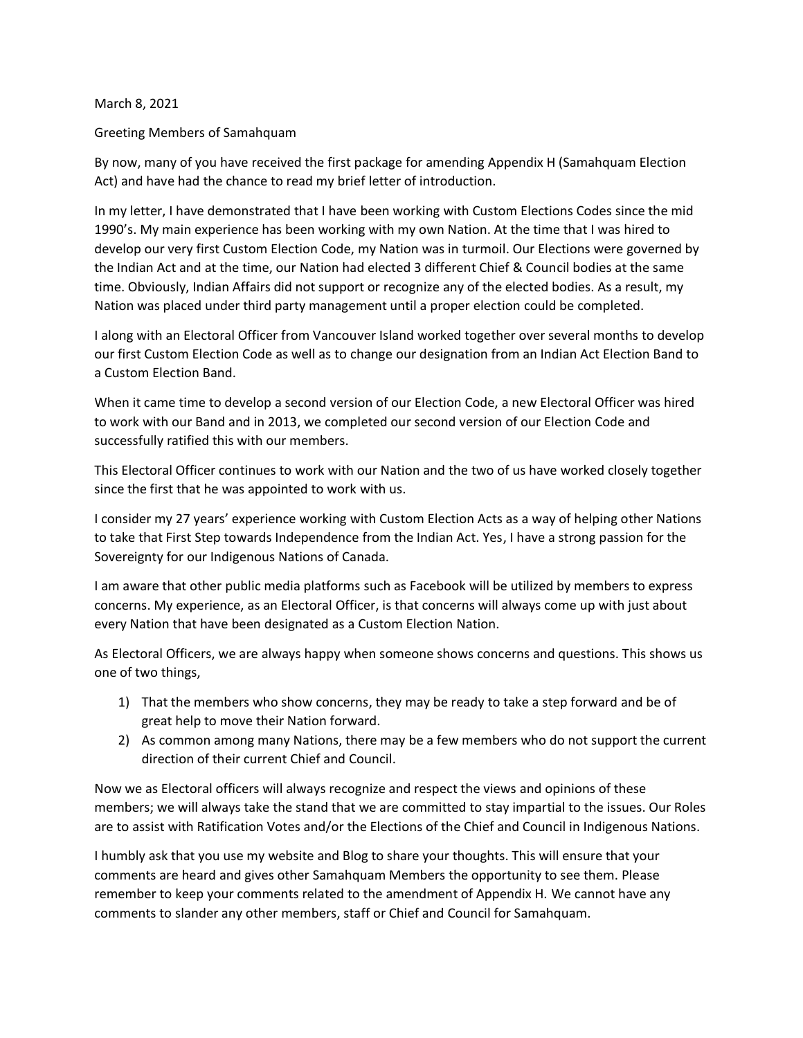March 8, 2021

Greeting Members of Samahquam

By now, many of you have received the first package for amending Appendix H (Samahquam Election Act) and have had the chance to read my brief letter of introduction.

In my letter, I have demonstrated that I have been working with Custom Elections Codes since the mid 1990's. My main experience has been working with my own Nation. At the time that I was hired to develop our very first Custom Election Code, my Nation was in turmoil. Our Elections were governed by the Indian Act and at the time, our Nation had elected 3 different Chief & Council bodies at the same time. Obviously, Indian Affairs did not support or recognize any of the elected bodies. As a result, my Nation was placed under third party management until a proper election could be completed.

I along with an Electoral Officer from Vancouver Island worked together over several months to develop our first Custom Election Code as well as to change our designation from an Indian Act Election Band to a Custom Election Band.

When it came time to develop a second version of our Election Code, a new Electoral Officer was hired to work with our Band and in 2013, we completed our second version of our Election Code and successfully ratified this with our members.

This Electoral Officer continues to work with our Nation and the two of us have worked closely together since the first that he was appointed to work with us.

I consider my 27 years' experience working with Custom Election Acts as a way of helping other Nations to take that First Step towards Independence from the Indian Act. Yes, I have a strong passion for the Sovereignty for our Indigenous Nations of Canada.

I am aware that other public media platforms such as Facebook will be utilized by members to express concerns. My experience, as an Electoral Officer, is that concerns will always come up with just about every Nation that have been designated as a Custom Election Nation.

As Electoral Officers, we are always happy when someone shows concerns and questions. This shows us one of two things,

- 1) That the members who show concerns, they may be ready to take a step forward and be of great help to move their Nation forward.
- 2) As common among many Nations, there may be a few members who do not support the current direction of their current Chief and Council.

Now we as Electoral officers will always recognize and respect the views and opinions of these members; we will always take the stand that we are committed to stay impartial to the issues. Our Roles are to assist with Ratification Votes and/or the Elections of the Chief and Council in Indigenous Nations.

I humbly ask that you use my website and Blog to share your thoughts. This will ensure that your comments are heard and gives other Samahquam Members the opportunity to see them. Please remember to keep your comments related to the amendment of Appendix H. We cannot have any comments to slander any other members, staff or Chief and Council for Samahquam.